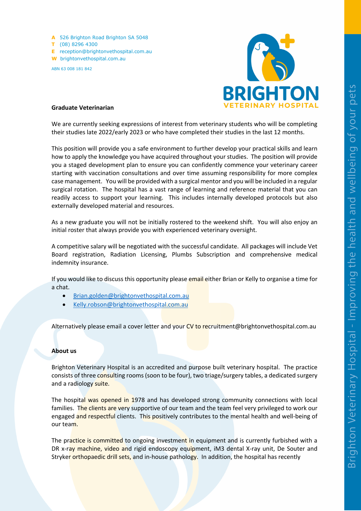**A** 526 Brighton Road Brighton SA 5048 **T** (08) 8296 4300 **E** reception@brightonvethospital.com.au **W** brightonvethospital.com.au ABN 63 008 181 842



## **Graduate Veterinarian**

We are currently seeking expressions of interest from veterinary students who will be completing their studies late 2022/early 2023 or who have completed their studies in the last 12 months.

This position will provide you a safe environment to further develop your practical skills and learn how to apply the knowledge you have acquired throughout your studies. The position will provide you a staged development plan to ensure you can confidently commence your veterinary career starting with vaccination consultations and over time assuming responsibility for more complex case management. You will be provided with a surgical mentor and you will be included in a regular surgical rotation. The hospital has a vast range of learning and reference material that you can readily access to support your learning. This includes internally developed protocols but also externally developed material and resources.

As a new graduate you will not be initially rostered to the weekend shift. You will also enjoy an initial roster that always provide you with experienced veterinary oversight.

A competitive salary will be negotiated with the successful candidate. All packages will include Vet Board registration, Radiation Licensing, Plumbs Subscription and comprehensive medical indemnity insurance.

If you would like to discuss this opportunity please email either Brian or Kelly to organise a time for a chat.

- Brian.golden@brightonvethospital.com.au
- Kelly.robson@brightonvethospital.com.au

Alternatively please email a cover letter and your CV to recruitment@brightonvethospital.com.au

## **About us**

Brighton Veterinary Hospital is an accredited and purpose built veterinary hospital. The practice consists of three consulting rooms (soon to be four), two triage/surgery tables, a dedicated surgery and a radiology suite.

The hospital was opened in 1978 and has developed strong community connections with local families. The clients are very supportive of our team and the team feel very privileged to work our engaged and respectful clients. This positively contributes to the mental health and well-being of our team.

The practice is committed to ongoing investment in equipment and is currently furbished with a DR x-ray machine, video and rigid endoscopy equipment, iM3 dental X-ray unit, De Souter and Stryker orthopaedic drill sets, and in-house pathology. In addition, the hospital has recently